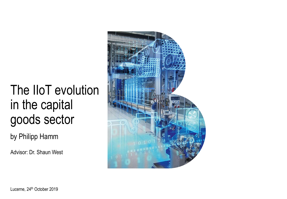# The IIoT evolution in the capital goods sector

by Philipp Hamm

Advisor: Dr. Shaun West

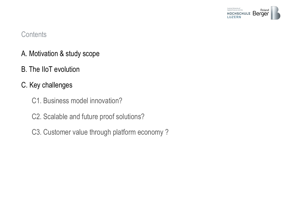

#### **Contents**

- A. Motivation & study scope
- B. The IIoT evolution
- C. Key challenges
	- C1. Business model innovation?
	- C2. Scalable and future proof solutions?
	- C3. Customer value through platform economy ?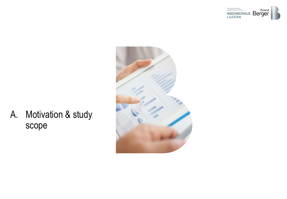



A. Motivation & study scope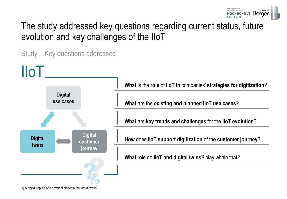

### The study addressed key questions regarding current status, future evolution and key challenges of the IIoT



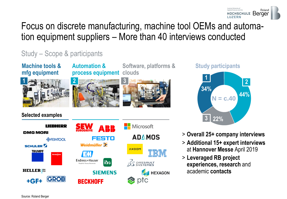

## Focus on discrete manufacturing, machine tool OEMs and automation equipment suppliers – More than 40 interviews conducted

### Study – Scope & participants

**Machine tools & mfg equipment** 



**Automation & process equipment clouds**



# **Software, platforms &**



#### **Study participants**



- - > **Overall 25+ company interviews**
	- > **Additional 15+ expert interviews**  at **Hannover Messe** April 2019
	- > **Leveraged RB project experiences, research** and academic **contacts**

#### **Selected examples**



Source: Roland Berger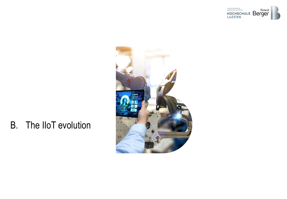



# B. The IIoT evolution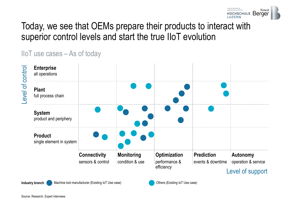

### Today, we see that OEMs prepare their products to interact with superior control levels and start the true IIoT evolution

IIoT use cases – As of today



**Industry branch** Machine tool manufacturer (Existing IoT Use case) Others (Existing IoT Use case)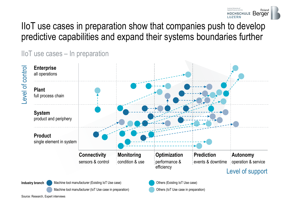

### IIoT use cases in preparation show that companies push to develop predictive capabilities and expand their systems boundaries further

IIoT use cases – In preparation



Source: Research, Expert interviews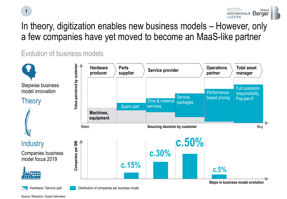



## In theory, digitization enables new business models – However, only a few companies have yet moved to become an MaaS-like partner

### Evolution of business models



Source: Research, Expert interviews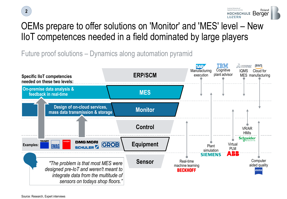

# OEMs prepare to offer solutions on 'Monitor' and 'MES' level – New IIoT competences needed in a field dominated by large players

Future proof solutions – Dynamics along automation pyramid

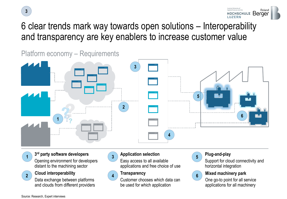



## 6 clear trends mark way towards open solutions – Interoperability and transparency are key enablers to increase customer value

Platform economy – Requirements



#### **3 rd party software developers**

Opening environment for developers distant to the machining sector

#### **Cloud interoperability**

Data exchange between platforms and clouds from different providers



#### **Application selection**

 $\begin{pmatrix} 1 \end{pmatrix}$   $\begin{pmatrix} 5 \end{pmatrix}$  **Figure 2**  $\begin{pmatrix} 5 \end{pmatrix}$  **Figure 2**  $\begin{pmatrix} 5 \end{pmatrix}$  **Figure 2**  $\begin{pmatrix} 5 \end{pmatrix}$  **Figure 2**  $\begin{pmatrix} 5 \end{pmatrix}$ Easy access to all available applications and free choice of use



#### **Transparency**

Customer chooses which data can be used for which application



#### **Plug-and-play**

Support for cloud connectivity and horizontal integration



#### **Mixed machinery park**

One go-to point for all service applications for all machinery

**2**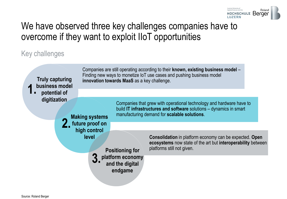

### We have observed three key challenges companies have to overcome if they want to exploit IIoT opportunities

### Key challenges